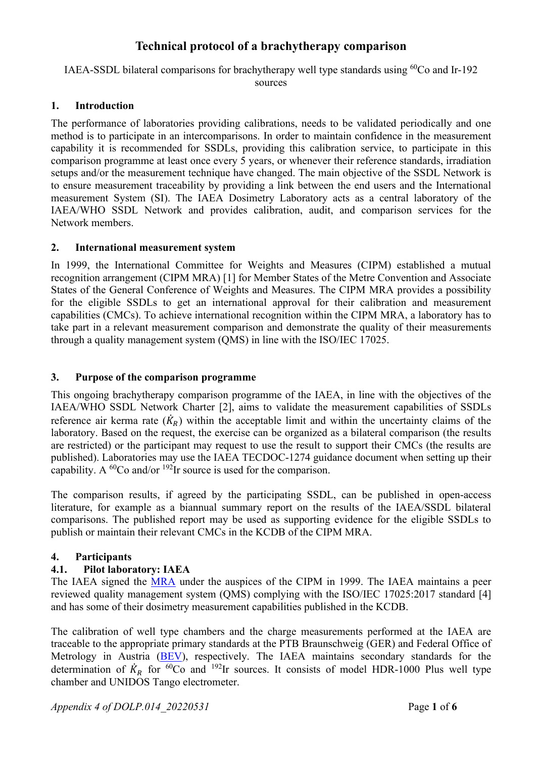# **Technical protocol of a brachytherapy comparison**

IAEA-SSDL bilateral comparisons for brachytherapy well type standards using <sup>60</sup>Co and Ir-192 sources

#### **1. Introduction**

The performance of laboratories providing calibrations, needs to be validated periodically and one method is to participate in an intercomparisons. In order to maintain confidence in the measurement capability it is recommended for SSDLs, providing this calibration service, to participate in this comparison programme at least once every 5 years, or whenever their reference standards, irradiation setups and/or the measurement technique have changed. The main objective of the SSDL Network is to ensure measurement traceability by providing a link between the end users and the International measurement System (SI). The IAEA Dosimetry Laboratory acts as a central laboratory of the IAEA/WHO SSDL Network and provides calibration, audit, and comparison services for the Network members.

#### **2. International measurement system**

In 1999, the International Committee for Weights and Measures (CIPM) established a mutual recognition arrangement (CIPM MRA) [1] for Member States of the Metre Convention and Associate States of the General Conference of Weights and Measures. The CIPM MRA provides a possibility for the eligible SSDLs to get an international approval for their calibration and measurement capabilities (CMCs). To achieve international recognition within the CIPM MRA, a laboratory has to take part in a relevant measurement comparison and demonstrate the quality of their measurements through a quality management system (QMS) in line with the ISO/IEC 17025.

#### **3. Purpose of the comparison programme**

This ongoing brachytherapy comparison programme of the IAEA, in line with the objectives of the IAEA/WHO SSDL Network Charter [2], aims to validate the measurement capabilities of SSDLs reference air kerma rate  $(K_R)$  within the acceptable limit and within the uncertainty claims of the laboratory. Based on the request, the exercise can be organized as a bilateral comparison (the results are restricted) or the participant may request to use the result to support their CMCs (the results are published). Laboratories may use the IAEA TECDOC-1274 guidance document when setting up their capability. A <sup>60</sup>Co and/or <sup>192</sup>Ir source is used for the comparison.

The comparison results, if agreed by the participating SSDL, can be published in open-access literature, for example as a biannual summary report on the results of the IAEA/SSDL bilateral comparisons. The published report may be used as supporting evidence for the eligible SSDLs to publish or maintain their relevant CMCs in the KCDB of the CIPM MRA.

### **4. Participants**

### **4.1. Pilot laboratory: IAEA**

The IAEA signed the [MRA](http://www.bipm.org/en/cipm-mra/) under the auspices of the CIPM in 1999. The IAEA maintains a peer reviewed quality management system (QMS) complying with the ISO/IEC 17025:2017 standard [4] and has some of their dosimetry measurement capabilities published in the KCDB.

The calibration of well type chambers and the charge measurements performed at the IAEA are traceable to the appropriate primary standards at the PTB Braunschweig (GER) and Federal Office of Metrology in Austria [\(BEV\)](http://www.metrologie.at/index_e.html/), respectively. The IAEA maintains secondary standards for the determination of  $K_R$  for <sup>60</sup>Co and <sup>192</sup>Ir sources. It consists of model HDR-1000 Plus well type chamber and UNIDOS Tango electrometer.

*Appendix 4 of DOLP.014\_20220531* Page **1** of **6**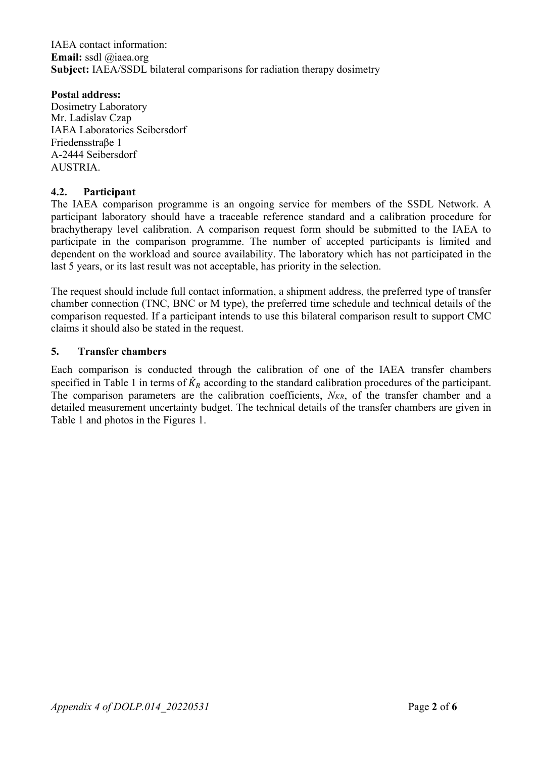IAEA contact information: **Email:** ssdl @iaea.org **Subject:** IAEA/SSDL bilateral comparisons for radiation therapy dosimetry

#### **Postal address:**

Dosimetry Laboratory Mr. Ladislav Czap IAEA Laboratories Seibersdorf Friedensstraβe 1 A-2444 Seibersdorf AUSTRIA.

### **4.2. Participant**

The IAEA comparison programme is an ongoing service for members of the SSDL Network. A participant laboratory should have a traceable reference standard and a calibration procedure for brachytherapy level calibration. A comparison request form should be submitted to the IAEA to participate in the comparison programme. The number of accepted participants is limited and dependent on the workload and source availability. The laboratory which has not participated in the last 5 years, or its last result was not acceptable, has priority in the selection.

The request should include full contact information, a shipment address, the preferred type of transfer chamber connection (TNC, BNC or M type), the preferred time schedule and technical details of the comparison requested. If a participant intends to use this bilateral comparison result to support CMC claims it should also be stated in the request.

#### **5. Transfer chambers**

Each comparison is conducted through the calibration of one of the IAEA transfer chambers specified in Table 1 in terms of  $K_R$  according to the standard calibration procedures of the participant. The comparison parameters are the calibration coefficients,  $N_{KR}$ , of the transfer chamber and a detailed measurement uncertainty budget. The technical details of the transfer chambers are given in Table 1 and photos in the Figures 1.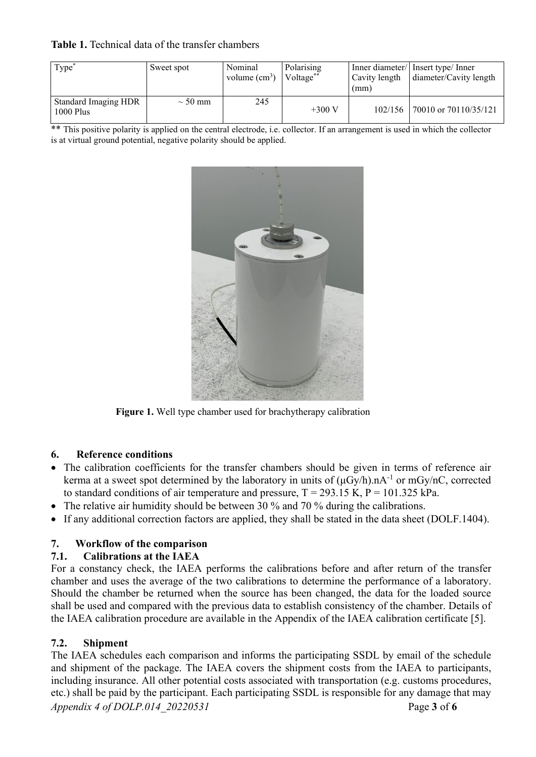#### **Table 1.** Technical data of the transfer chambers

| Type <sup>'</sup>                          | Sweet spot   | Nominal<br>volume $(cm3)$ | Polarising<br>Voltage <sup>**</sup> | Cavity length<br>(mm) | Inner diameter/ Insert type/ Inner<br>diameter/Cavity length |
|--------------------------------------------|--------------|---------------------------|-------------------------------------|-----------------------|--------------------------------------------------------------|
| <b>Standard Imaging HDR</b><br>$1000$ Plus | $\sim$ 50 mm | 245                       | $+300 V$                            | $102/156$             | 70010 or 70110/35/121                                        |

\*\* This positive polarity is applied on the central electrode, i.e. collector. If an arrangement is used in which the collector is at virtual ground potential, negative polarity should be applied.



**Figure 1.** Well type chamber used for brachytherapy calibration

## **6. Reference conditions**

- The calibration coefficients for the transfer chambers should be given in terms of reference air kerma at a sweet spot determined by the laboratory in units of  $(\mu Gy/h)$ .nA<sup>-1</sup> or mGy/nC, corrected to standard conditions of air temperature and pressure,  $T = 293.15$  K,  $P = 101.325$  kPa.
- The relative air humidity should be between 30 % and 70 % during the calibrations.
- If any additional correction factors are applied, they shall be stated in the data sheet (DOLF.1404).

## **7. Workflow of the comparison**

### **7.1. Calibrations at the IAEA**

For a constancy check, the IAEA performs the calibrations before and after return of the transfer chamber and uses the average of the two calibrations to determine the performance of a laboratory. Should the chamber be returned when the source has been changed, the data for the loaded source shall be used and compared with the previous data to establish consistency of the chamber. Details of the IAEA calibration procedure are available in the Appendix of the IAEA calibration certificate [5].

## **7.2. Shipment**

*Appendix 4 of DOLP.014\_20220531* Page **3** of **6** The IAEA schedules each comparison and informs the participating SSDL by email of the schedule and shipment of the package. The IAEA covers the shipment costs from the IAEA to participants, including insurance. All other potential costs associated with transportation (e.g. customs procedures, etc.) shall be paid by the participant. Each participating SSDL is responsible for any damage that may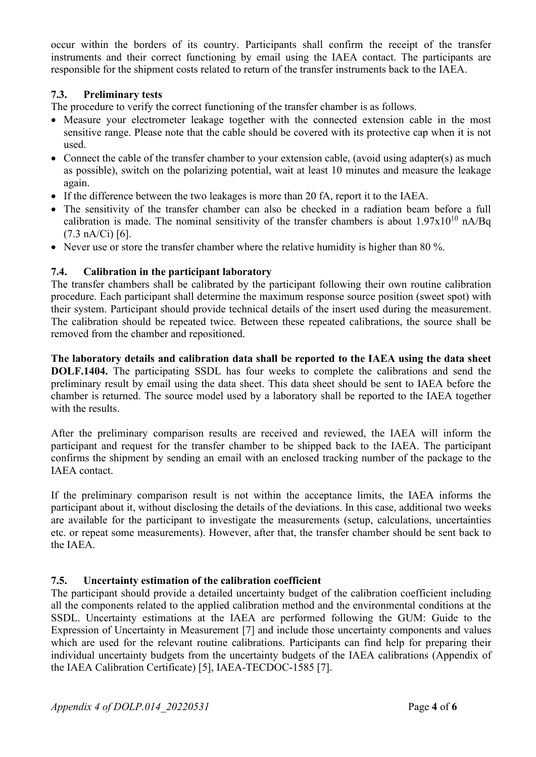occur within the borders of its country. Participants shall confirm the receipt of the transfer instruments and their correct functioning by email using the IAEA contact. The participants are responsible for the shipment costs related to return of the transfer instruments back to the IAEA.

### **7.3. Preliminary tests**

The procedure to verify the correct functioning of the transfer chamber is as follows.

- Measure your electrometer leakage together with the connected extension cable in the most sensitive range. Please note that the cable should be covered with its protective cap when it is not used.
- Connect the cable of the transfer chamber to your extension cable, (avoid using adapter(s) as much as possible), switch on the polarizing potential, wait at least 10 minutes and measure the leakage again.
- If the difference between the two leakages is more than 20 fA, report it to the IAEA.
- The sensitivity of the transfer chamber can also be checked in a radiation beam before a full calibration is made. The nominal sensitivity of the transfer chambers is about  $1.97x10^{10}$  nA/Bq  $(7.3 nA/Ci)$  [6].
- Never use or store the transfer chamber where the relative humidity is higher than 80 %.

### **7.4. Calibration in the participant laboratory**

The transfer chambers shall be calibrated by the participant following their own routine calibration procedure. Each participant shall determine the maximum response source position (sweet spot) with their system. Participant should provide technical details of the insert used during the measurement. The calibration should be repeated twice. Between these repeated calibrations, the source shall be removed from the chamber and repositioned.

**The laboratory details and calibration data shall be reported to the IAEA using the data sheet DOLF.1404.** The participating SSDL has four weeks to complete the calibrations and send the preliminary result by email using the data sheet. This data sheet should be sent to IAEA before the chamber is returned. The source model used by a laboratory shall be reported to the IAEA together with the results.

After the preliminary comparison results are received and reviewed, the IAEA will inform the participant and request for the transfer chamber to be shipped back to the IAEA. The participant confirms the shipment by sending an email with an enclosed tracking number of the package to the IAEA contact.

If the preliminary comparison result is not within the acceptance limits, the IAEA informs the participant about it, without disclosing the details of the deviations. In this case, additional two weeks are available for the participant to investigate the measurements (setup, calculations, uncertainties etc. or repeat some measurements). However, after that, the transfer chamber should be sent back to the IAEA.

### **7.5. Uncertainty estimation of the calibration coefficient**

The participant should provide a detailed uncertainty budget of the calibration coefficient including all the components related to the applied calibration method and the environmental conditions at the SSDL. Uncertainty estimations at the IAEA are performed following the GUM: Guide to the Expression of Uncertainty in Measurement [7] and include those uncertainty components and values which are used for the relevant routine calibrations. Participants can find help for preparing their individual uncertainty budgets from the uncertainty budgets of the IAEA calibrations (Appendix of the IAEA Calibration Certificate) [5], IAEA-TECDOC-1585 [7].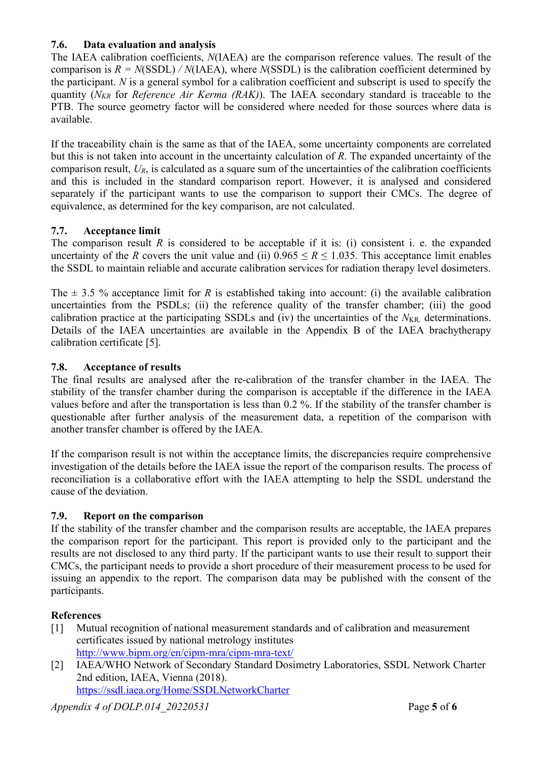### **7.6. Data evaluation and analysis**

The IAEA calibration coefficients, *N*(IAEA) are the comparison reference values. The result of the comparison is  $R = N(SSDL) / N(IAEA)$ , where  $N(SSDL)$  is the calibration coefficient determined by the participant. *N* is a general symbol for a calibration coefficient and subscript is used to specify the quantity (*NKR* for *Reference Air Kerma (RAK)*). The IAEA secondary standard is traceable to the PTB. The source geometry factor will be considered where needed for those sources where data is available.

If the traceability chain is the same as that of the IAEA, some uncertainty components are correlated but this is not taken into account in the uncertainty calculation of *R*. The expanded uncertainty of the comparison result,  $U_R$ , is calculated as a square sum of the uncertainties of the calibration coefficients and this is included in the standard comparison report. However, it is analysed and considered separately if the participant wants to use the comparison to support their CMCs. The degree of equivalence, as determined for the key comparison, are not calculated.

### **7.7. Acceptance limit**

The comparison result  $R$  is considered to be acceptable if it is: (i) consistent i. e. the expanded uncertainty of the *R* covers the unit value and (ii)  $0.965 \le R \le 1.035$ . This acceptance limit enables the SSDL to maintain reliable and accurate calibration services for radiation therapy level dosimeters.

The  $\pm$  3.5 % acceptance limit for *R* is established taking into account: (i) the available calibration uncertainties from the PSDLs; (ii) the reference quality of the transfer chamber; (iii) the good calibration practice at the participating SSDLs and (iv) the uncertainties of the  $N_{KR}$  determinations. Details of the IAEA uncertainties are available in the Appendix B of the IAEA brachytherapy calibration certificate [5].

### **7.8. Acceptance of results**

The final results are analysed after the re-calibration of the transfer chamber in the IAEA. The stability of the transfer chamber during the comparison is acceptable if the difference in the IAEA values before and after the transportation is less than 0.2 %. If the stability of the transfer chamber is questionable after further analysis of the measurement data, a repetition of the comparison with another transfer chamber is offered by the IAEA.

If the comparison result is not within the acceptance limits, the discrepancies require comprehensive investigation of the details before the IAEA issue the report of the comparison results. The process of reconciliation is a collaborative effort with the IAEA attempting to help the SSDL understand the cause of the deviation.

## **7.9. Report on the comparison**

If the stability of the transfer chamber and the comparison results are acceptable, the IAEA prepares the comparison report for the participant. This report is provided only to the participant and the results are not disclosed to any third party. If the participant wants to use their result to support their CMCs, the participant needs to provide a short procedure of their measurement process to be used for issuing an appendix to the report. The comparison data may be published with the consent of the participants.

## **References**

- [1] Mutual recognition of national measurement standards and of calibration and measurement certificates issued by national metrology institutes <http://www.bipm.org/en/cipm-mra/cipm-mra-text/>
- [2] IAEA/WHO Network of Secondary Standard Dosimetry Laboratories, [SSDL Network Charter](http://www-naweb.iaea.org/nahu/dmrp/SSDL/charter.asp)  [2nd edition, IAEA,](http://www-naweb.iaea.org/nahu/dmrp/SSDL/charter.asp) Vienna (2018). <https://ssdl.iaea.org/Home/SSDLNetworkCharter>

*Appendix 4 of DOLP.014\_20220531* Page **5** of **6**